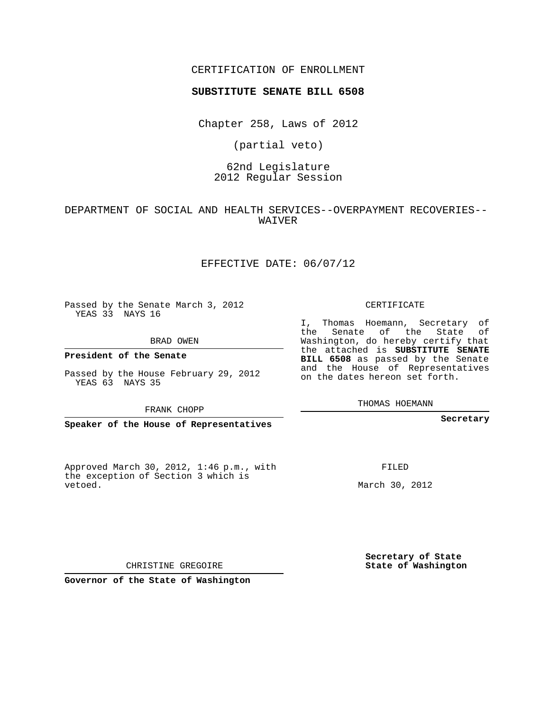## CERTIFICATION OF ENROLLMENT

#### **SUBSTITUTE SENATE BILL 6508**

Chapter 258, Laws of 2012

(partial veto)

## 62nd Legislature 2012 Regular Session

DEPARTMENT OF SOCIAL AND HEALTH SERVICES--OVERPAYMENT RECOVERIES-- WAIVER

## EFFECTIVE DATE: 06/07/12

Passed by the Senate March 3, 2012 YEAS 33 NAYS 16

BRAD OWEN

**President of the Senate**

Passed by the House February 29, 2012 YEAS 63 NAYS 35

FRANK CHOPP

**Speaker of the House of Representatives**

Approved March 30, 2012, 1:46 p.m., with the exception of Section 3 which is vetoed.

CERTIFICATE

I, Thomas Hoemann, Secretary of the Senate of the State of Washington, do hereby certify that the attached is **SUBSTITUTE SENATE BILL 6508** as passed by the Senate and the House of Representatives on the dates hereon set forth.

THOMAS HOEMANN

**Secretary**

FILED

March 30, 2012

**Secretary of State State of Washington**

CHRISTINE GREGOIRE

**Governor of the State of Washington**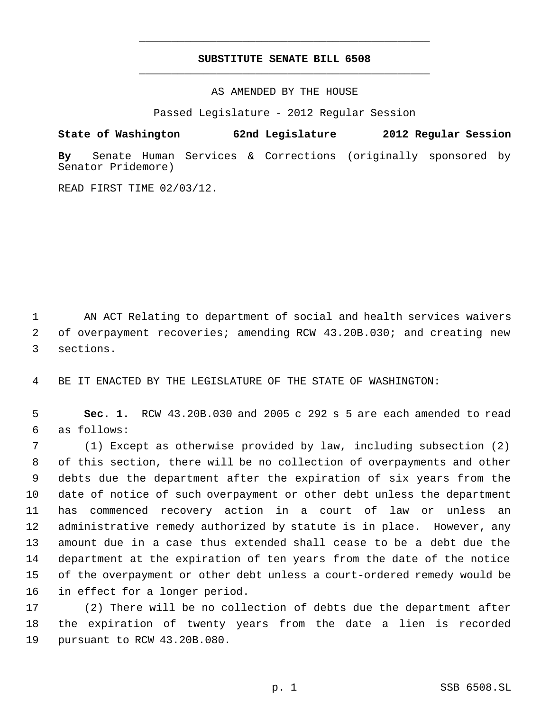# **SUBSTITUTE SENATE BILL 6508** \_\_\_\_\_\_\_\_\_\_\_\_\_\_\_\_\_\_\_\_\_\_\_\_\_\_\_\_\_\_\_\_\_\_\_\_\_\_\_\_\_\_\_\_\_

\_\_\_\_\_\_\_\_\_\_\_\_\_\_\_\_\_\_\_\_\_\_\_\_\_\_\_\_\_\_\_\_\_\_\_\_\_\_\_\_\_\_\_\_\_

AS AMENDED BY THE HOUSE

Passed Legislature - 2012 Regular Session

**State of Washington 62nd Legislature 2012 Regular Session**

**By** Senate Human Services & Corrections (originally sponsored by Senator Pridemore)

READ FIRST TIME 02/03/12.

 AN ACT Relating to department of social and health services waivers of overpayment recoveries; amending RCW 43.20B.030; and creating new sections.

BE IT ENACTED BY THE LEGISLATURE OF THE STATE OF WASHINGTON:

 **Sec. 1.** RCW 43.20B.030 and 2005 c 292 s 5 are each amended to read as follows:

 (1) Except as otherwise provided by law, including subsection (2) of this section, there will be no collection of overpayments and other debts due the department after the expiration of six years from the date of notice of such overpayment or other debt unless the department has commenced recovery action in a court of law or unless an administrative remedy authorized by statute is in place. However, any amount due in a case thus extended shall cease to be a debt due the department at the expiration of ten years from the date of the notice of the overpayment or other debt unless a court-ordered remedy would be in effect for a longer period.

 (2) There will be no collection of debts due the department after the expiration of twenty years from the date a lien is recorded pursuant to RCW 43.20B.080.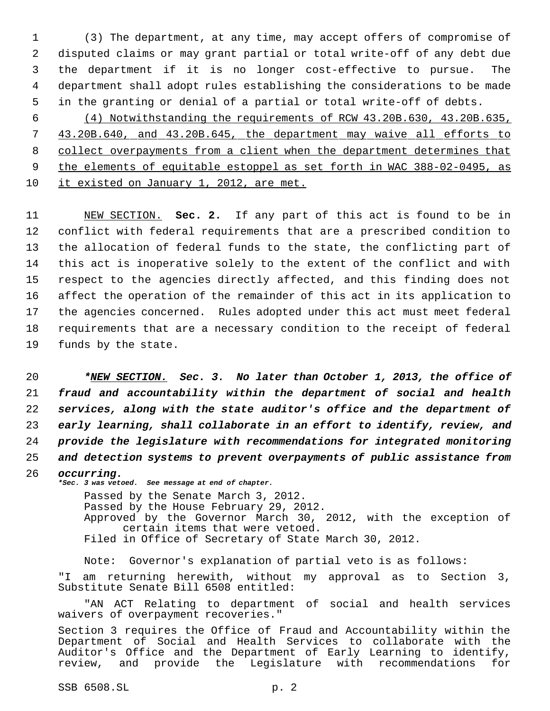(3) The department, at any time, may accept offers of compromise of disputed claims or may grant partial or total write-off of any debt due the department if it is no longer cost-effective to pursue. The department shall adopt rules establishing the considerations to be made in the granting or denial of a partial or total write-off of debts.

 (4) Notwithstanding the requirements of RCW 43.20B.630, 43.20B.635, 43.20B.640, and 43.20B.645, the department may waive all efforts to collect overpayments from a client when the department determines that the elements of equitable estoppel as set forth in WAC 388-02-0495, as it existed on January 1, 2012, are met.

 NEW SECTION. **Sec. 2.** If any part of this act is found to be in conflict with federal requirements that are a prescribed condition to the allocation of federal funds to the state, the conflicting part of this act is inoperative solely to the extent of the conflict and with respect to the agencies directly affected, and this finding does not affect the operation of the remainder of this act in its application to the agencies concerned. Rules adopted under this act must meet federal requirements that are a necessary condition to the receipt of federal funds by the state.

 *\*NEW SECTION. Sec. 3. No later than October 1, 2013, the office of fraud and accountability within the department of social and health services, along with the state auditor's office and the department of early learning, shall collaborate in an effort to identify, review, and provide the legislature with recommendations for integrated monitoring and detection systems to prevent overpayments of public assistance from*

 *occurring. \*Sec. 3 was vetoed. See message at end of chapter.* Passed by the Senate March 3, 2012. Passed by the House February 29, 2012. Approved by the Governor March 30, 2012, with the exception of certain items that were vetoed. Filed in Office of Secretary of State March 30, 2012.

Note: Governor's explanation of partial veto is as follows: "I am returning herewith, without my approval as to Section 3, Substitute Senate Bill 6508 entitled:

"AN ACT Relating to department of social and health services waivers of overpayment recoveries."

Section 3 requires the Office of Fraud and Accountability within the Department of Social and Health Services to collaborate with the Auditor's Office and the Department of Early Learning to identify, review, and provide the Legislature with recommendations for

SSB 6508.SL p. 2